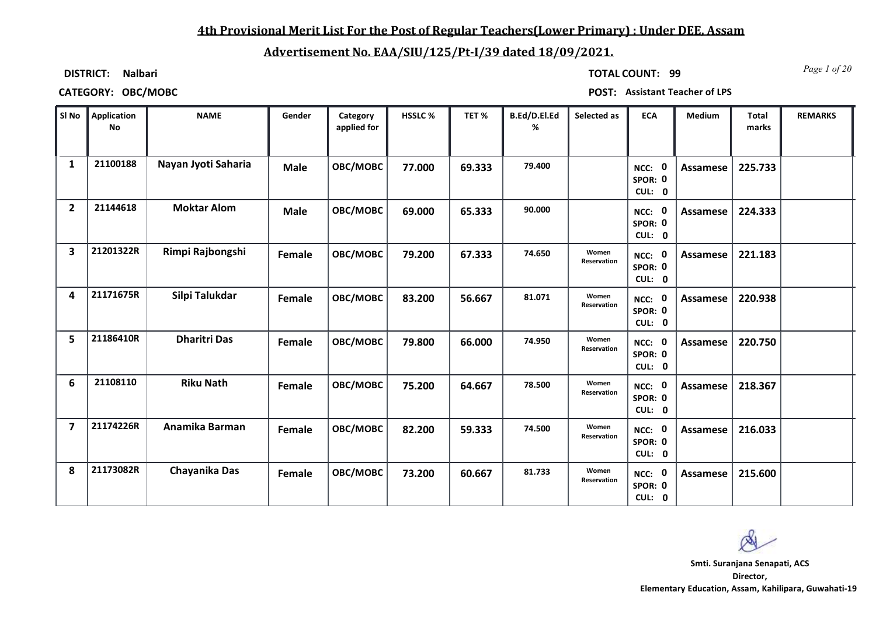### **4th Provisional Merit List For the Post of Regular Teachers(Lower Primary) : Under DEE, Assam**

### **Advertisement No. EAA/SIU/125/Pt-I/39 dated 18/09/2021.**

**DISTRICT: Nalbari**

*Page 1 of 20* **TOTAL COUNT: 99**

**CATEGORY: OBC/MOBC POST: Assistant Teacher of LPS**

| SI No                   | Application<br><b>No</b> | <b>NAME</b>         | Gender      | Category<br>applied for | HSSLC% | TET %  | B.Ed/D.El.Ed<br>% | Selected as          | <b>ECA</b>                         | Medium          | <b>Total</b><br>marks | <b>REMARKS</b> |
|-------------------------|--------------------------|---------------------|-------------|-------------------------|--------|--------|-------------------|----------------------|------------------------------------|-----------------|-----------------------|----------------|
| $\mathbf{1}$            | 21100188                 | Nayan Jyoti Saharia | <b>Male</b> | OBC/MOBC                | 77.000 | 69.333 | 79.400            |                      | NCC: 0<br>SPOR: 0<br>CUL: 0        | Assamese        | 225.733               |                |
| $\overline{2}$          | 21144618                 | <b>Moktar Alom</b>  | <b>Male</b> | OBC/MOBC                | 69.000 | 65.333 | 90.000            |                      | NCC: 0<br>SPOR: 0<br>CUL: 0        | <b>Assamese</b> | 224.333               |                |
| 3                       | 21201322R                | Rimpi Rajbongshi    | Female      | OBC/MOBC                | 79.200 | 67.333 | 74.650            | Women<br>Reservation | NCC: 0<br>SPOR: 0<br>CUL: 0        | Assamese        | 221.183               |                |
| 4                       | 21171675R                | Silpi Talukdar      | Female      | OBC/MOBC                | 83.200 | 56.667 | 81.071            | Women<br>Reservation | <b>NCC: 0</b><br>SPOR: 0<br>CUL: 0 | Assamese        | 220.938               |                |
| 5                       | 21186410R                | <b>Dharitri Das</b> | Female      | OBC/MOBC                | 79.800 | 66.000 | 74.950            | Women<br>Reservation | NCC: 0<br>SPOR: 0<br>CUL: 0        | <b>Assamese</b> | 220.750               |                |
| 6                       | 21108110                 | <b>Riku Nath</b>    | Female      | OBC/MOBC                | 75.200 | 64.667 | 78.500            | Women<br>Reservation | NCC: 0<br>SPOR: 0<br>CUL: 0        | <b>Assamese</b> | 218.367               |                |
| $\overline{\mathbf{z}}$ | 21174226R                | Anamika Barman      | Female      | OBC/MOBC                | 82.200 | 59.333 | 74.500            | Women<br>Reservation | NCC: 0<br>SPOR: 0<br>CUL: 0        | Assamese        | 216.033               |                |
| 8                       | 21173082R                | Chayanika Das       | Female      | OBC/MOBC                | 73.200 | 60.667 | 81.733            | Women<br>Reservation | NCC: 0<br>SPOR: 0<br>CUL: 0        | Assamese        | 215.600               |                |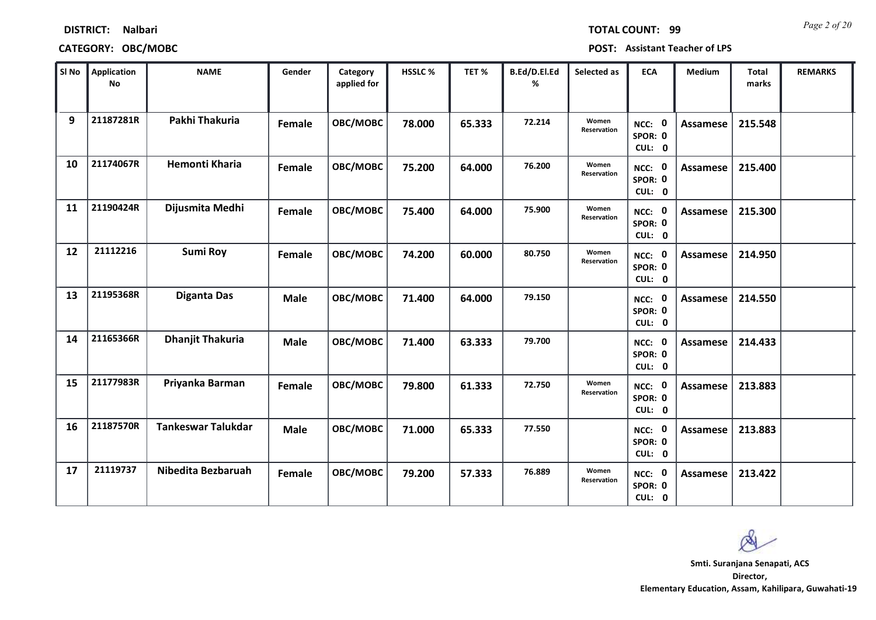| SI No | <b>Application</b><br><b>No</b> | <b>NAME</b>               | Gender      | Category<br>applied for | HSSLC% | TET%   | B.Ed/D.El.Ed<br>% | Selected as          | <b>ECA</b>                  | Medium          | Total<br>marks | <b>REMARKS</b> |
|-------|---------------------------------|---------------------------|-------------|-------------------------|--------|--------|-------------------|----------------------|-----------------------------|-----------------|----------------|----------------|
| 9     | 21187281R                       | Pakhi Thakuria            | Female      | OBC/MOBC                | 78.000 | 65.333 | 72.214            | Women<br>Reservation | NCC: 0<br>SPOR: 0<br>CUL: 0 | <b>Assamese</b> | 215.548        |                |
| 10    | 21174067R                       | <b>Hemonti Kharia</b>     | Female      | OBC/MOBC                | 75.200 | 64.000 | 76.200            | Women<br>Reservation | NCC: 0<br>SPOR: 0<br>CUL: 0 | Assamese        | 215.400        |                |
| 11    | 21190424R                       | Dijusmita Medhi           | Female      | OBC/MOBC                | 75.400 | 64.000 | 75.900            | Women<br>Reservation | NCC: 0<br>SPOR: 0<br>CUL: 0 | Assamese        | 215.300        |                |
| 12    | 21112216                        | <b>Sumi Roy</b>           | Female      | OBC/MOBC                | 74.200 | 60.000 | 80.750            | Women<br>Reservation | NCC: 0<br>SPOR: 0<br>CUL: 0 | Assamese        | 214.950        |                |
| 13    | 21195368R                       | <b>Diganta Das</b>        | <b>Male</b> | OBC/MOBC                | 71.400 | 64.000 | 79.150            |                      | NCC: 0<br>SPOR: 0<br>CUL: 0 | <b>Assamese</b> | 214.550        |                |
| 14    | 21165366R                       | <b>Dhanjit Thakuria</b>   | <b>Male</b> | OBC/MOBC                | 71.400 | 63.333 | 79.700            |                      | NCC: 0<br>SPOR: 0<br>CUL: 0 | Assamese        | 214.433        |                |
| 15    | 21177983R                       | Priyanka Barman           | Female      | OBC/MOBC                | 79.800 | 61.333 | 72.750            | Women<br>Reservation | NCC: 0<br>SPOR: 0<br>CUL: 0 | Assamese        | 213.883        |                |
| 16    | 21187570R                       | <b>Tankeswar Talukdar</b> | <b>Male</b> | OBC/MOBC                | 71.000 | 65.333 | 77.550            |                      | NCC: 0<br>SPOR: 0<br>CUL: 0 | Assamese        | 213.883        |                |
| 17    | 21119737                        | Nibedita Bezbaruah        | Female      | OBC/MOBC                | 79.200 | 57.333 | 76.889            | Women<br>Reservation | NCC: 0<br>SPOR: 0<br>CUL: 0 | Assamese        | 213.422        |                |

**DISTRICT: Nalbari**

*Page 2 of 20* **TOTAL COUNT: 99**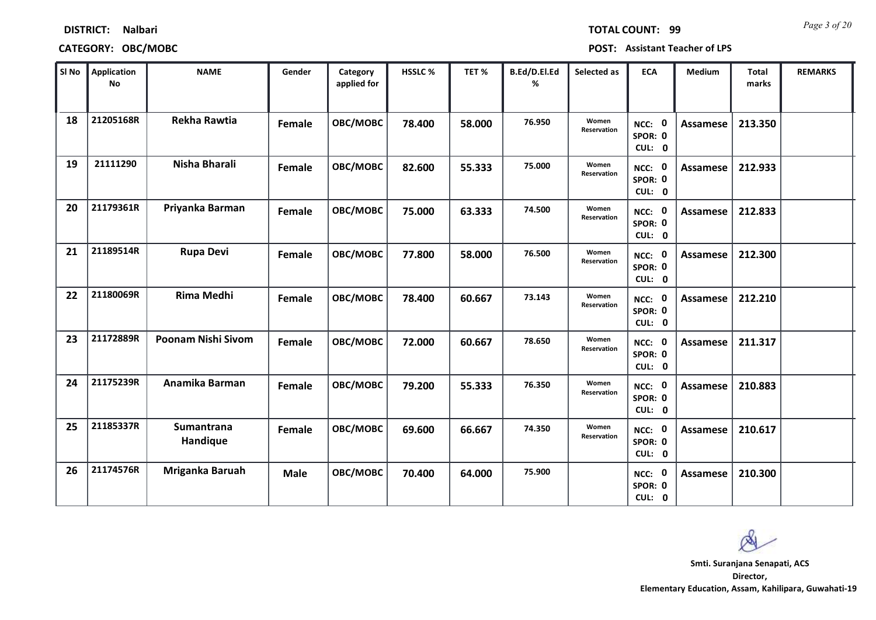|    | SI No Application<br><b>No</b> | <b>NAME</b>               | Gender | Category<br>applied for | HSSLC% | TET%   | B.Ed/D.El.Ed<br>% | Selected as          | <b>ECA</b>                  | Medium          | <b>Total</b><br>marks | <b>REMARKS</b> |
|----|--------------------------------|---------------------------|--------|-------------------------|--------|--------|-------------------|----------------------|-----------------------------|-----------------|-----------------------|----------------|
| 18 | 21205168R                      | <b>Rekha Rawtia</b>       | Female | OBC/MOBC                | 78.400 | 58.000 | 76.950            | Women<br>Reservation | NCC: 0<br>SPOR: 0<br>CUL: 0 | <b>Assamese</b> | 213.350               |                |
| 19 | 21111290                       | Nisha Bharali             | Female | OBC/MOBC                | 82.600 | 55.333 | 75.000            | Women<br>Reservation | NCC: 0<br>SPOR: 0<br>CUL: 0 | Assamese        | 212.933               |                |
| 20 | 21179361R                      | Priyanka Barman           | Female | OBC/MOBC                | 75.000 | 63.333 | 74.500            | Women<br>Reservation | NCC: 0<br>SPOR: 0<br>CUL: 0 | Assamese        | 212.833               |                |
| 21 | 21189514R                      | <b>Rupa Devi</b>          | Female | OBC/MOBC                | 77.800 | 58.000 | 76.500            | Women<br>Reservation | NCC: 0<br>SPOR: 0<br>CUL: 0 | Assamese        | 212.300               |                |
| 22 | 21180069R                      | <b>Rima Medhi</b>         | Female | OBC/MOBC                | 78.400 | 60.667 | 73.143            | Women<br>Reservation | NCC: 0<br>SPOR: 0<br>CUL: 0 | <b>Assamese</b> | 212.210               |                |
| 23 | 21172889R                      | <b>Poonam Nishi Sivom</b> | Female | OBC/MOBC                | 72.000 | 60.667 | 78.650            | Women<br>Reservation | NCC: 0<br>SPOR: 0<br>CUL: 0 | <b>Assamese</b> | 211.317               |                |
| 24 | 21175239R                      | Anamika Barman            | Female | OBC/MOBC                | 79.200 | 55.333 | 76.350            | Women<br>Reservation | NCC: 0<br>SPOR: 0<br>CUL: 0 | Assamese        | 210.883               |                |
| 25 | 21185337R                      | Sumantrana<br>Handique    | Female | OBC/MOBC                | 69.600 | 66.667 | 74.350            | Women<br>Reservation | NCC: 0<br>SPOR: 0<br>CUL: 0 | Assamese        | 210.617               |                |
| 26 | 21174576R                      | Mriganka Baruah           | Male   | OBC/MOBC                | 70.400 | 64.000 | 75.900            |                      | NCC: 0<br>SPOR: 0<br>CUL: 0 | Assamese        | 210.300               |                |

### **CATEGORY: OBC/MOBC POST: Assistant Teacher of LPS**

**Director, Smti. Suranjana Senapati, ACS**

**Elementary Education, Assam, Kahilipara, Guwahati-19**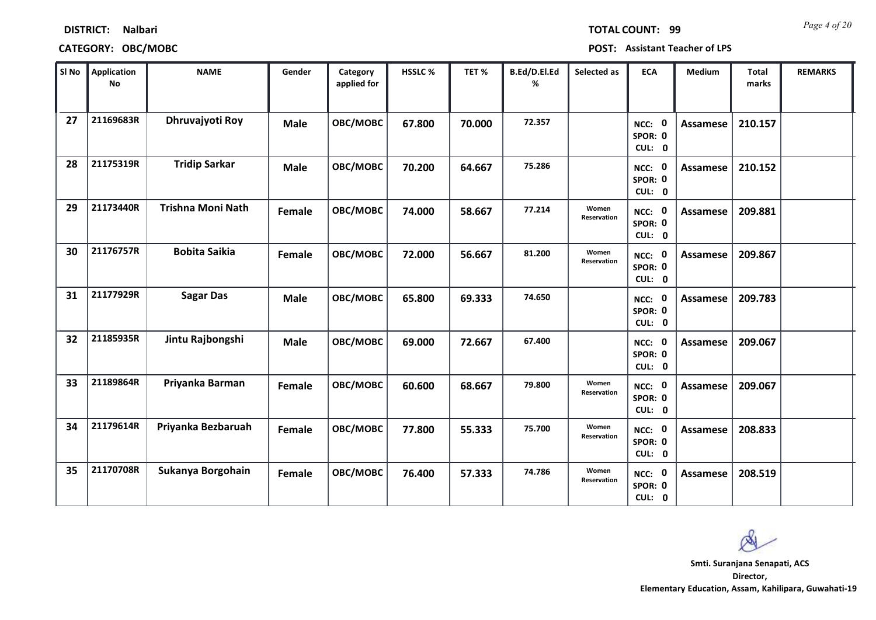| SI No | Application<br>No | <b>NAME</b>              | Gender        | Category<br>applied for | HSSLC% | TET%   | B.Ed/D.El.Ed<br>% | Selected as          | <b>ECA</b>                  | Medium          | Total<br>marks | <b>REMARKS</b> |
|-------|-------------------|--------------------------|---------------|-------------------------|--------|--------|-------------------|----------------------|-----------------------------|-----------------|----------------|----------------|
| 27    | 21169683R         | <b>Dhruvajyoti Roy</b>   | <b>Male</b>   | OBC/MOBC                | 67.800 | 70.000 | 72.357            |                      | NCC: 0<br>SPOR: 0<br>CUL: 0 | <b>Assamese</b> | 210.157        |                |
| 28    | 21175319R         | <b>Tridip Sarkar</b>     | <b>Male</b>   | OBC/MOBC                | 70.200 | 64.667 | 75.286            |                      | NCC: 0<br>SPOR: 0<br>CUL: 0 | Assamese        | 210.152        |                |
| 29    | 21173440R         | <b>Trishna Moni Nath</b> | Female        | OBC/MOBC                | 74.000 | 58.667 | 77.214            | Women<br>Reservation | NCC: 0<br>SPOR: 0<br>CUL: 0 | <b>Assamese</b> | 209.881        |                |
| 30    | 21176757R         | <b>Bobita Saikia</b>     | Female        | OBC/MOBC                | 72.000 | 56.667 | 81.200            | Women<br>Reservation | NCC: 0<br>SPOR: 0<br>CUL: 0 | Assamese        | 209.867        |                |
| 31    | 21177929R         | <b>Sagar Das</b>         | <b>Male</b>   | OBC/MOBC                | 65.800 | 69.333 | 74.650            |                      | NCC: 0<br>SPOR: 0<br>CUL: 0 | <b>Assamese</b> | 209.783        |                |
| 32    | 21185935R         | Jintu Rajbongshi         | <b>Male</b>   | OBC/MOBC                | 69.000 | 72.667 | 67.400            |                      | NCC: 0<br>SPOR: 0<br>CUL: 0 | Assamese        | 209.067        |                |
| 33    | 21189864R         | Priyanka Barman          | Female        | OBC/MOBC                | 60.600 | 68.667 | 79.800            | Women<br>Reservation | NCC: 0<br>SPOR: 0<br>CUL: 0 | Assamese        | 209.067        |                |
| 34    | 21179614R         | Priyanka Bezbaruah       | Female        | OBC/MOBC                | 77.800 | 55.333 | 75.700            | Women<br>Reservation | NCC: 0<br>SPOR: 0<br>CUL: 0 | <b>Assamese</b> | 208.833        |                |
| 35    | 21170708R         | Sukanya Borgohain        | <b>Female</b> | OBC/MOBC                | 76.400 | 57.333 | 74.786            | Women<br>Reservation | NCC: 0<br>SPOR: 0<br>CUL: 0 | Assamese        | 208.519        |                |

**CATEGORY: OBC/MOBC POST: Assistant Teacher of LPS**

*Page 4 of 20* **TOTAL COUNT: 99**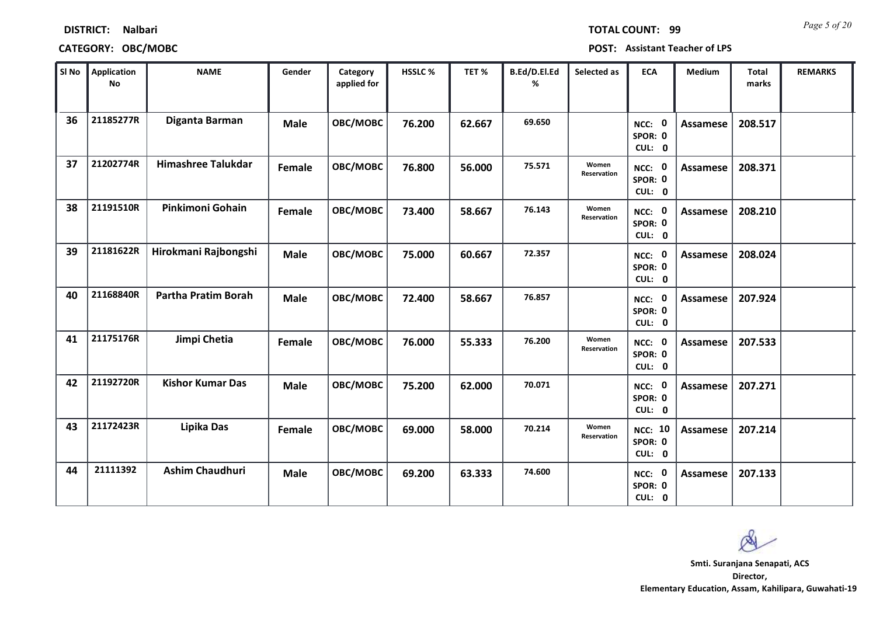| SI No | Application<br><b>No</b> | <b>NAME</b>                | Gender      | Category<br>applied for | HSSLC% | TET%   | B.Ed/D.El.Ed<br>% | Selected as          | <b>ECA</b>                          | Medium          | <b>Total</b><br>marks | <b>REMARKS</b> |
|-------|--------------------------|----------------------------|-------------|-------------------------|--------|--------|-------------------|----------------------|-------------------------------------|-----------------|-----------------------|----------------|
| 36    | 21185277R                | Diganta Barman             | <b>Male</b> | OBC/MOBC                | 76.200 | 62.667 | 69.650            |                      | NCC: 0<br>SPOR: 0<br>CUL: 0         | Assamese        | 208.517               |                |
| 37    | 21202774R                | <b>Himashree Talukdar</b>  | Female      | OBC/MOBC                | 76.800 | 56.000 | 75.571            | Women<br>Reservation | NCC: 0<br>SPOR: 0<br>CUL: 0         | Assamese        | 208.371               |                |
| 38    | 21191510R                | Pinkimoni Gohain           | Female      | <b>OBC/MOBC</b>         | 73.400 | 58.667 | 76.143            | Women<br>Reservation | NCC: 0<br>SPOR: 0<br>CUL: 0         | Assamese        | 208.210               |                |
| 39    | 21181622R                | Hirokmani Rajbongshi       | <b>Male</b> | OBC/MOBC                | 75.000 | 60.667 | 72.357            |                      | NCC: 0<br>SPOR: 0<br>CUL: 0         | <b>Assamese</b> | 208.024               |                |
| 40    | 21168840R                | <b>Partha Pratim Borah</b> | <b>Male</b> | OBC/MOBC                | 72.400 | 58.667 | 76.857            |                      | NCC: 0<br>SPOR: 0<br>CUL: 0         | <b>Assamese</b> | 207.924               |                |
| 41    | 21175176R                | Jimpi Chetia               | Female      | OBC/MOBC                | 76.000 | 55.333 | 76.200            | Women<br>Reservation | NCC: 0<br>SPOR: 0<br>CUL: 0         | <b>Assamese</b> | 207.533               |                |
| 42    | 21192720R                | <b>Kishor Kumar Das</b>    | <b>Male</b> | OBC/MOBC                | 75.200 | 62.000 | 70.071            |                      | NCC: 0<br>SPOR: 0<br>CUL: 0         | <b>Assamese</b> | 207.271               |                |
| 43    | 21172423R                | Lipika Das                 | Female      | OBC/MOBC                | 69.000 | 58.000 | 70.214            | Women<br>Reservation | <b>NCC: 10</b><br>SPOR: 0<br>CUL: 0 | Assamese        | 207.214               |                |
| 44    | 21111392                 | <b>Ashim Chaudhuri</b>     | <b>Male</b> | OBC/MOBC                | 69.200 | 63.333 | 74.600            |                      | NCC: 0<br>SPOR: 0<br>CUL: 0         | <b>Assamese</b> | 207.133               |                |

**DISTRICT: Nalbari**

**Director, Elementary Education, Assam, Kahilipara, Guwahati-19 Smti. Suranjana Senapati, ACS**



*Page 5 of 20* **TOTAL COUNT: 99**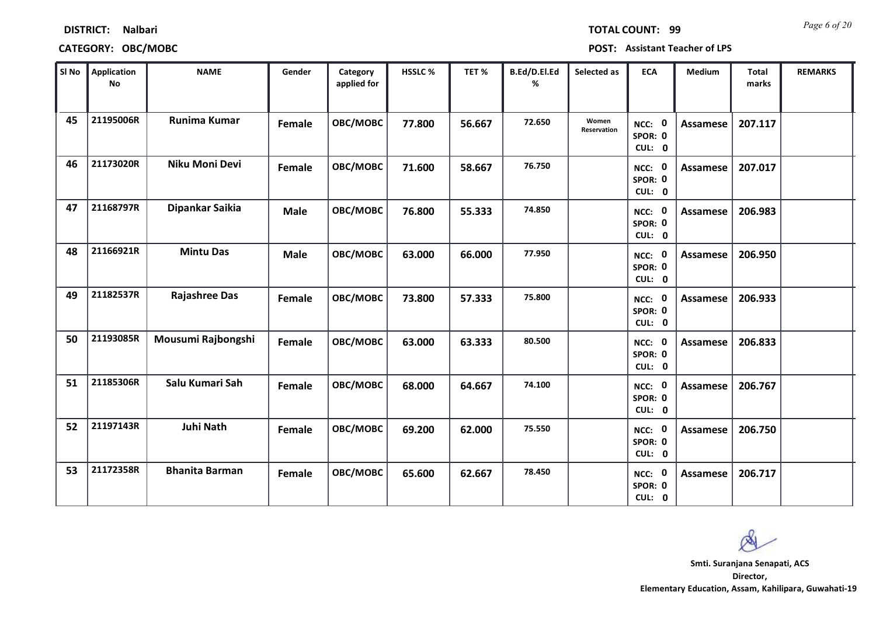| SI No | Application<br><b>No</b> | <b>NAME</b>           | Gender      | Category<br>applied for | HSSLC% | TET%   | B.Ed/D.El.Ed<br>% | Selected as          | <b>ECA</b>                  | Medium          | Total<br>marks | <b>REMARKS</b> |
|-------|--------------------------|-----------------------|-------------|-------------------------|--------|--------|-------------------|----------------------|-----------------------------|-----------------|----------------|----------------|
| 45    | 21195006R                | Runima Kumar          | Female      | OBC/MOBC                | 77.800 | 56.667 | 72.650            | Women<br>Reservation | NCC: 0<br>SPOR: 0<br>CUL: 0 | <b>Assamese</b> | 207.117        |                |
| 46    | 21173020R                | Niku Moni Devi        | Female      | OBC/MOBC                | 71.600 | 58.667 | 76.750            |                      | NCC: 0<br>SPOR: 0<br>CUL: 0 | Assamese        | 207.017        |                |
| 47    | 21168797R                | Dipankar Saikia       | <b>Male</b> | OBC/MOBC                | 76.800 | 55.333 | 74.850            |                      | NCC: 0<br>SPOR: 0<br>CUL: 0 | Assamese        | 206.983        |                |
| 48    | 21166921R                | <b>Mintu Das</b>      | <b>Male</b> | OBC/MOBC                | 63.000 | 66.000 | 77.950            |                      | NCC: 0<br>SPOR: 0<br>CUL: 0 | <b>Assamese</b> | 206.950        |                |
| 49    | 21182537R                | <b>Rajashree Das</b>  | Female      | OBC/MOBC                | 73.800 | 57.333 | 75.800            |                      | NCC: 0<br>SPOR: 0<br>CUL: 0 | Assamese        | 206.933        |                |
| 50    | 21193085R                | Mousumi Rajbongshi    | Female      | <b>OBC/MOBC</b>         | 63.000 | 63.333 | 80.500            |                      | NCC: 0<br>SPOR: 0<br>CUL: 0 | Assamese        | 206.833        |                |
| 51    | 21185306R                | Salu Kumari Sah       | Female      | OBC/MOBC                | 68.000 | 64.667 | 74.100            |                      | NCC: 0<br>SPOR: 0<br>CUL: 0 | <b>Assamese</b> | 206.767        |                |
| 52    | 21197143R                | <b>Juhi Nath</b>      | Female      | OBC/MOBC                | 69.200 | 62.000 | 75.550            |                      | NCC: 0<br>SPOR: 0<br>CUL: 0 | Assamese        | 206.750        |                |
| 53    | 21172358R                | <b>Bhanita Barman</b> | Female      | OBC/MOBC                | 65.600 | 62.667 | 78.450            |                      | NCC: 0<br>SPOR: 0<br>CUL: 0 | Assamese        | 206.717        |                |

**DISTRICT: Nalbari**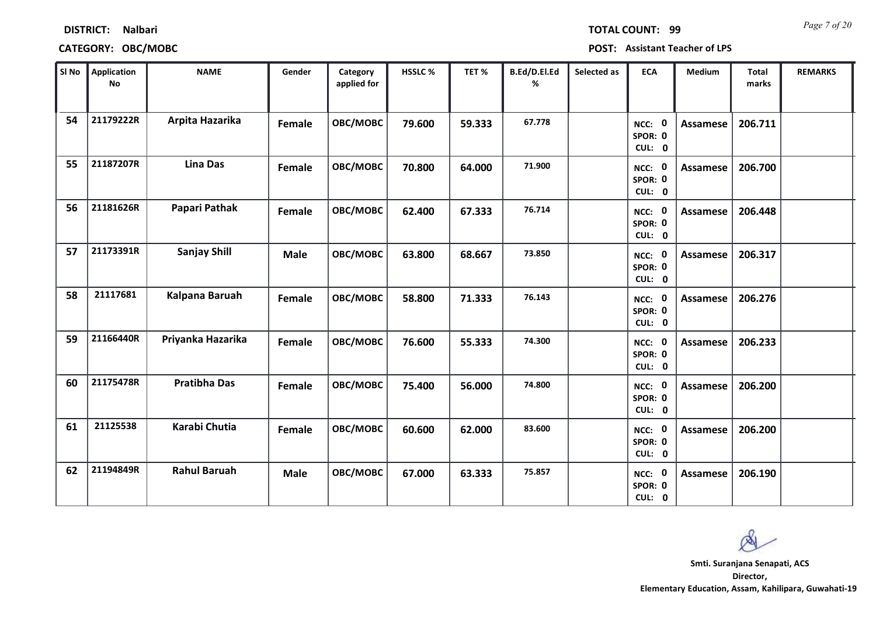| SI No | Application<br>No | <b>NAME</b>         | Gender      | Category<br>applied for | HSSLC% | TET%   | B.Ed/D.El.Ed<br>% | Selected as | <b>ECA</b>                  | Medium          | Total<br>marks | <b>REMARKS</b> |
|-------|-------------------|---------------------|-------------|-------------------------|--------|--------|-------------------|-------------|-----------------------------|-----------------|----------------|----------------|
| 54    | 21179222R         | Arpita Hazarika     | Female      | <b>OBC/MOBC</b>         | 79.600 | 59.333 | 67.778            |             | NCC: 0<br>SPOR: 0<br>CUL: 0 | <b>Assamese</b> | 206.711        |                |
| 55    | 21187207R         | <b>Lina Das</b>     | Female      | OBC/MOBC                | 70.800 | 64.000 | 71.900            |             | NCC: 0<br>SPOR: 0<br>CUL: 0 | Assamese        | 206.700        |                |
| 56    | 21181626R         | Papari Pathak       | Female      | <b>OBC/MOBC</b>         | 62.400 | 67.333 | 76.714            |             | NCC: 0<br>SPOR: 0<br>CUL: 0 | Assamese        | 206.448        |                |
| 57    | 21173391R         | <b>Sanjay Shill</b> | <b>Male</b> | OBC/MOBC                | 63.800 | 68.667 | 73.850            |             | NCC: 0<br>SPOR: 0<br>CUL: 0 | Assamese        | 206.317        |                |
| 58    | 21117681          | Kalpana Baruah      | Female      | OBC/MOBC                | 58.800 | 71.333 | 76.143            |             | NCC: 0<br>SPOR: 0<br>CUL: 0 | Assamese        | 206.276        |                |
| 59    | 21166440R         | Priyanka Hazarika   | Female      | OBC/MOBC                | 76.600 | 55.333 | 74.300            |             | NCC: 0<br>SPOR: 0<br>CUL: 0 | Assamese        | 206.233        |                |
| 60    | 21175478R         | <b>Pratibha Das</b> | Female      | OBC/MOBC                | 75.400 | 56.000 | 74.800            |             | NCC: 0<br>SPOR: 0<br>CUL: 0 | Assamese        | 206.200        |                |
| 61    | 21125538          | Karabi Chutia       | Female      | OBC/MOBC                | 60.600 | 62.000 | 83.600            |             | NCC: 0<br>SPOR: 0<br>CUL: 0 | <b>Assamese</b> | 206.200        |                |
| 62    | 21194849R         | <b>Rahul Baruah</b> | <b>Male</b> | OBC/MOBC                | 67.000 | 63.333 | 75.857            |             | NCC: 0<br>SPOR: 0<br>CUL: 0 | Assamese        | 206.190        |                |

**Director, Elementary Education, Assam, Kahilipara, Guwahati-19 Smti. Suranjana Senapati, ACS**

*Page 7 of 20* **TOTAL COUNT: 99**

**DISTRICT: Nalbari**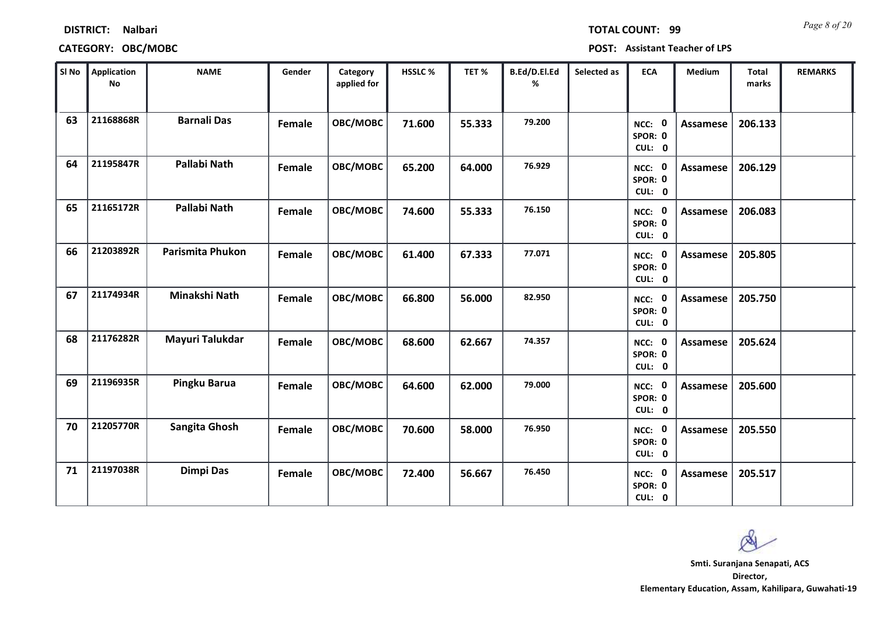| SI No | Application<br>No | <b>NAME</b>        | Gender | Category<br>applied for | HSSLC% | TET%   | B.Ed/D.El.Ed<br>% | Selected as | <b>ECA</b>                  | Medium          | Total<br>marks | <b>REMARKS</b> |
|-------|-------------------|--------------------|--------|-------------------------|--------|--------|-------------------|-------------|-----------------------------|-----------------|----------------|----------------|
| 63    | 21168868R         | <b>Barnali Das</b> | Female | OBC/MOBC                | 71.600 | 55.333 | 79.200            |             | NCC: 0<br>SPOR: 0<br>CUL: 0 | <b>Assamese</b> | 206.133        |                |
| 64    | 21195847R         | Pallabi Nath       | Female | OBC/MOBC                | 65.200 | 64.000 | 76.929            |             | NCC: 0<br>SPOR: 0<br>CUL: 0 | <b>Assamese</b> | 206.129        |                |
| 65    | 21165172R         | Pallabi Nath       | Female | OBC/MOBC                | 74.600 | 55.333 | 76.150            |             | NCC: 0<br>SPOR: 0<br>CUL: 0 | <b>Assamese</b> | 206.083        |                |
| 66    | 21203892R         | Parismita Phukon   | Female | OBC/MOBC                | 61.400 | 67.333 | 77.071            |             | NCC: 0<br>SPOR: 0<br>CUL: 0 | <b>Assamese</b> | 205.805        |                |
| 67    | 21174934R         | Minakshi Nath      | Female | OBC/MOBC                | 66.800 | 56.000 | 82.950            |             | NCC: 0<br>SPOR: 0<br>CUL: 0 | Assamese        | 205.750        |                |
| 68    | 21176282R         | Mayuri Talukdar    | Female | OBC/MOBC                | 68.600 | 62.667 | 74.357            |             | NCC: 0<br>SPOR: 0<br>CUL: 0 | <b>Assamese</b> | 205.624        |                |
| 69    | 21196935R         | Pingku Barua       | Female | OBC/MOBC                | 64.600 | 62.000 | 79.000            |             | NCC: 0<br>SPOR: 0<br>CUL: 0 | <b>Assamese</b> | 205.600        |                |
| 70    | 21205770R         | Sangita Ghosh      | Female | OBC/MOBC                | 70.600 | 58.000 | 76.950            |             | NCC: 0<br>SPOR: 0<br>CUL: 0 | <b>Assamese</b> | 205.550        |                |
| 71    | 21197038R         | Dimpi Das          | Female | OBC/MOBC                | 72.400 | 56.667 | 76.450            |             | NCC: 0<br>SPOR: 0<br>CUL: 0 | <b>Assamese</b> | 205.517        |                |

**CATEGORY: OBC/MOBC POST: Assistant Teacher of LPS**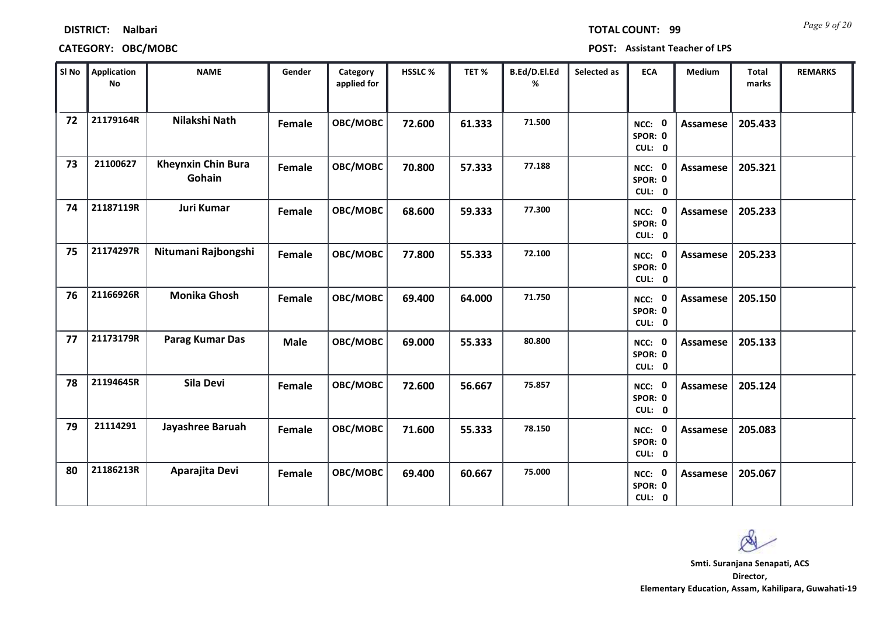| SI No | Application<br><b>No</b> | <b>NAME</b>                         | Gender      | Category<br>applied for | HSSLC% | TET%   | B.Ed/D.El.Ed<br>% | Selected as | <b>ECA</b>                  | Medium   | Total<br>marks | <b>REMARKS</b> |
|-------|--------------------------|-------------------------------------|-------------|-------------------------|--------|--------|-------------------|-------------|-----------------------------|----------|----------------|----------------|
| 72    | 21179164R                | Nilakshi Nath                       | Female      | OBC/MOBC                | 72.600 | 61.333 | 71.500            |             | NCC: 0<br>SPOR: 0<br>CUL: 0 | Assamese | 205.433        |                |
| 73    | 21100627                 | <b>Kheynxin Chin Bura</b><br>Gohain | Female      | OBC/MOBC                | 70.800 | 57.333 | 77.188            |             | NCC: 0<br>SPOR: 0<br>CUL: 0 | Assamese | 205.321        |                |
| 74    | 21187119R                | Juri Kumar                          | Female      | <b>OBC/MOBC</b>         | 68.600 | 59.333 | 77.300            |             | NCC: 0<br>SPOR: 0<br>CUL: 0 | Assamese | 205.233        |                |
| 75    | 21174297R                | Nitumani Rajbongshi                 | Female      | OBC/MOBC                | 77.800 | 55.333 | 72.100            |             | NCC: 0<br>SPOR: 0<br>CUL: 0 | Assamese | 205.233        |                |
| 76    | 21166926R                | <b>Monika Ghosh</b>                 | Female      | OBC/MOBC                | 69.400 | 64.000 | 71.750            |             | NCC: 0<br>SPOR: 0<br>CUL: 0 | Assamese | 205.150        |                |
| 77    | 21173179R                | Parag Kumar Das                     | <b>Male</b> | OBC/MOBC                | 69.000 | 55.333 | 80.800            |             | NCC: 0<br>SPOR: 0<br>CUL: 0 | Assamese | 205.133        |                |
| 78    | 21194645R                | Sila Devi                           | Female      | OBC/MOBC                | 72.600 | 56.667 | 75.857            |             | NCC: 0<br>SPOR: 0<br>CUL: 0 | Assamese | 205.124        |                |
| 79    | 21114291                 | Jayashree Baruah                    | Female      | <b>OBC/MOBC</b>         | 71.600 | 55.333 | 78.150            |             | NCC: 0<br>SPOR: 0<br>CUL: 0 | Assamese | 205.083        |                |
| 80    | 21186213R                | Aparajita Devi                      | Female      | OBC/MOBC                | 69.400 | 60.667 | 75.000            |             | NCC: 0<br>SPOR: 0<br>CUL: 0 | Assamese | 205.067        |                |

### **CATEGORY: OBC/MOBC POST: Assistant Teacher of LPS**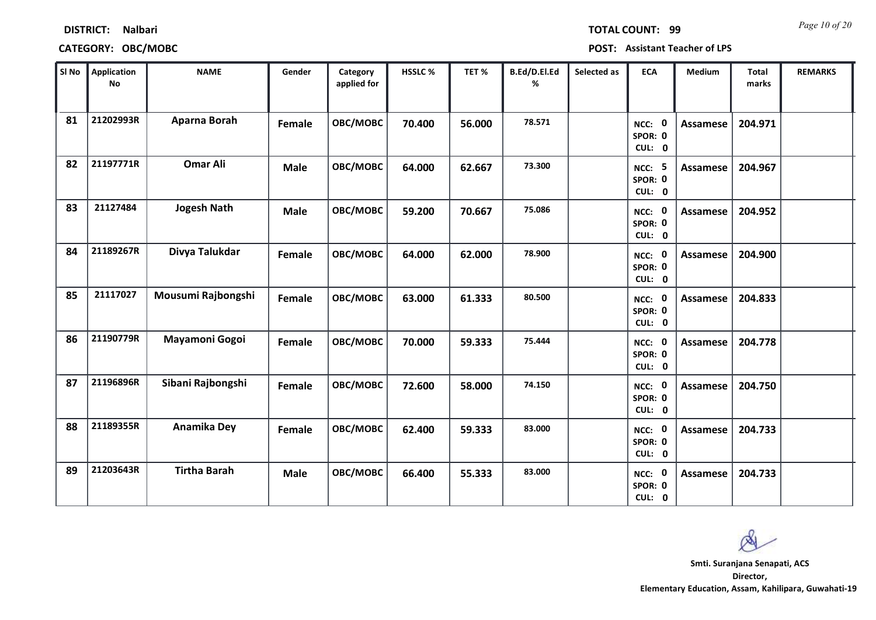|    | SI No   Application<br><b>No</b> | <b>NAME</b>         | Gender      | Category<br>applied for | HSSLC % | TET %  | B.Ed/D.El.Ed<br>% | Selected as | <b>ECA</b>                         | Medium          | Total<br>marks | <b>REMARKS</b> |
|----|----------------------------------|---------------------|-------------|-------------------------|---------|--------|-------------------|-------------|------------------------------------|-----------------|----------------|----------------|
| 81 | 21202993R                        | Aparna Borah        | Female      | OBC/MOBC                | 70.400  | 56.000 | 78.571            |             | NCC: 0<br>SPOR: 0<br>CUL: 0        | <b>Assamese</b> | 204.971        |                |
| 82 | 21197771R                        | <b>Omar Ali</b>     | <b>Male</b> | OBC/MOBC                | 64.000  | 62.667 | 73.300            |             | <b>NCC: 5</b><br>SPOR: 0<br>CUL: 0 | Assamese        | 204.967        |                |
| 83 | 21127484                         | <b>Jogesh Nath</b>  | Male        | OBC/MOBC                | 59.200  | 70.667 | 75.086            |             | NCC: 0<br>SPOR: 0<br>CUL: 0        | Assamese        | 204.952        |                |
| 84 | 21189267R                        | Divya Talukdar      | Female      | OBC/MOBC                | 64.000  | 62.000 | 78.900            |             | NCC: 0<br>SPOR: 0<br>CUL: 0        | Assamese        | 204.900        |                |
| 85 | 21117027                         | Mousumi Rajbongshi  | Female      | OBC/MOBC                | 63.000  | 61.333 | 80.500            |             | <b>NCC: 0</b><br>SPOR: 0<br>CUL: 0 | <b>Assamese</b> | 204.833        |                |
| 86 | 21190779R                        | Mayamoni Gogoi      | Female      | OBC/MOBC                | 70.000  | 59.333 | 75.444            |             | NCC: 0<br>SPOR: 0<br>CUL: 0        | <b>Assamese</b> | 204.778        |                |
| 87 | 21196896R                        | Sibani Rajbongshi   | Female      | OBC/MOBC                | 72.600  | 58.000 | 74.150            |             | NCC: 0<br>SPOR: 0<br>CUL: 0        | Assamese        | 204.750        |                |
| 88 | 21189355R                        | Anamika Dey         | Female      | OBC/MOBC                | 62.400  | 59.333 | 83.000            |             | NCC: 0<br>SPOR: 0<br>CUL: 0        | Assamese        | 204.733        |                |
| 89 | 21203643R                        | <b>Tirtha Barah</b> | Male        | OBC/MOBC                | 66.400  | 55.333 | 83.000            |             | NCC: 0<br>SPOR: 0<br>CUL: 0        | Assamese        | 204.733        |                |

### **CATEGORY: OBC/MOBC POST: Assistant Teacher of LPS**

*Page 10 of 20* **TOTAL COUNT: 99**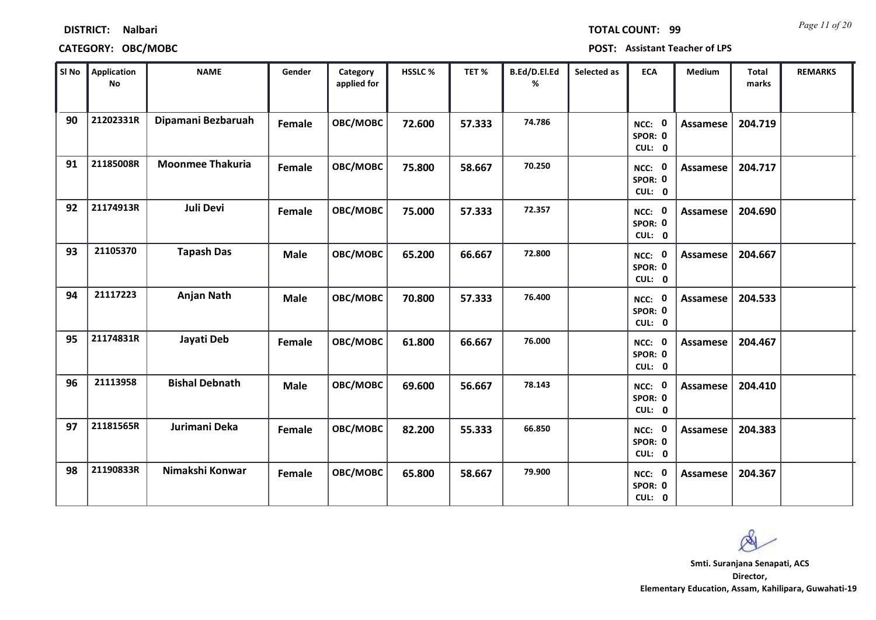|    | SI No    Application<br><b>No</b> | <b>NAME</b>             | Gender        | Category<br>applied for | HSSLC% | TET%   | B.Ed/D.El.Ed<br>% | Selected as | <b>ECA</b>                  | Medium          | <b>Total</b><br>marks | <b>REMARKS</b> |
|----|-----------------------------------|-------------------------|---------------|-------------------------|--------|--------|-------------------|-------------|-----------------------------|-----------------|-----------------------|----------------|
| 90 | 21202331R                         | Dipamani Bezbaruah      | Female        | OBC/MOBC                | 72.600 | 57.333 | 74.786            |             | NCC: 0<br>SPOR: 0<br>CUL: 0 | Assamese        | 204.719               |                |
| 91 | 21185008R                         | <b>Moonmee Thakuria</b> | Female        | OBC/MOBC                | 75.800 | 58.667 | 70.250            |             | NCC: 0<br>SPOR: 0<br>CUL: 0 | Assamese        | 204.717               |                |
| 92 | 21174913R                         | Juli Devi               | Female        | <b>OBC/MOBC</b>         | 75.000 | 57.333 | 72.357            |             | NCC: 0<br>SPOR: 0<br>CUL: 0 | Assamese        | 204.690               |                |
| 93 | 21105370                          | <b>Tapash Das</b>       | <b>Male</b>   | OBC/MOBC                | 65.200 | 66.667 | 72.800            |             | NCC: 0<br>SPOR: 0<br>CUL: 0 | Assamese        | 204.667               |                |
| 94 | 21117223                          | Anjan Nath              | <b>Male</b>   | OBC/MOBC                | 70.800 | 57.333 | 76.400            |             | NCC: 0<br>SPOR: 0<br>CUL: 0 | Assamese        | 204.533               |                |
| 95 | 21174831R                         | Jayati Deb              | Female        | <b>OBC/MOBC</b>         | 61.800 | 66.667 | 76.000            |             | NCC: 0<br>SPOR: 0<br>CUL: 0 | Assamese        | 204.467               |                |
| 96 | 21113958                          | <b>Bishal Debnath</b>   | <b>Male</b>   | <b>OBC/MOBC</b>         | 69.600 | 56.667 | 78.143            |             | NCC: 0<br>SPOR: 0<br>CUL: 0 | Assamese        | 204.410               |                |
| 97 | 21181565R                         | Jurimani Deka           | Female        | OBC/MOBC                | 82.200 | 55.333 | 66.850            |             | NCC: 0<br>SPOR: 0<br>CUL: 0 | Assamese        | 204.383               |                |
| 98 | 21190833R                         | Nimakshi Konwar         | <b>Female</b> | OBC/MOBC                | 65.800 | 58.667 | 79.900            |             | NCC: 0<br>SPOR: 0<br>CUL: 0 | <b>Assamese</b> | 204.367               |                |

**DISTRICT: Nalbari**

*Page 11 of 20* **TOTAL COUNT: 99**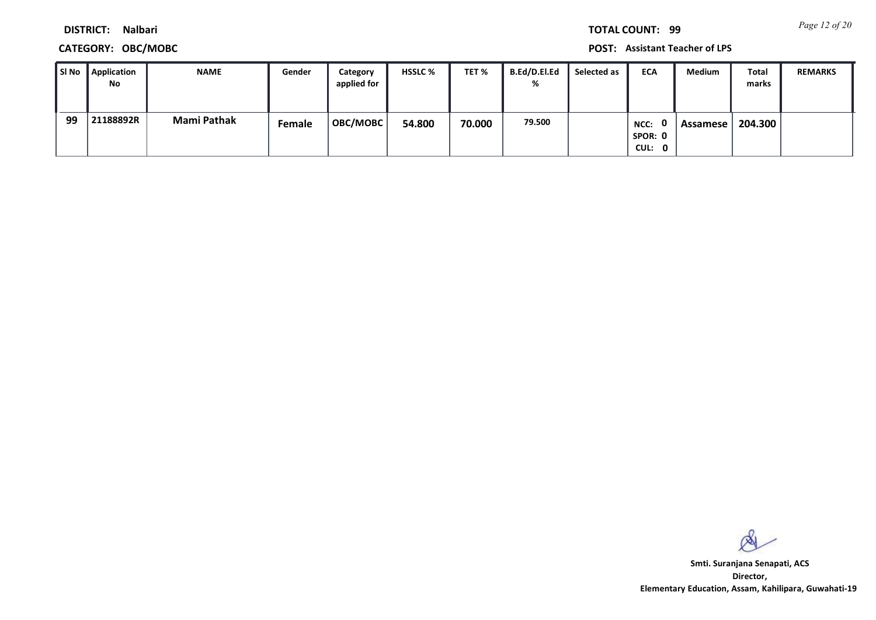**CATEGORY: OBC/MOBC POST: Assistant Teacher of LPS**

| l SI No | <b>Application</b> | <b>NAME</b> | Gender | Category        | <b>HSSLC %</b> | TET %  | B.Ed/D.El.Ed | Selected as | <b>ECA</b>  | <b>Medium</b> | Total   | <b>REMARKS</b> |
|---------|--------------------|-------------|--------|-----------------|----------------|--------|--------------|-------------|-------------|---------------|---------|----------------|
|         | No                 |             |        | applied for     |                |        | %            |             |             |               | marks   |                |
|         |                    |             |        |                 |                |        |              |             |             |               |         |                |
| 99      | 21188892R          | Mami Pathak | Female | <b>OBC/MOBC</b> | 54.800         | 70.000 | 79.500       |             | - 0<br>NCC: | Assamese      | 204.300 |                |
|         |                    |             |        |                 |                |        |              |             | SPOR: 0     |               |         |                |
|         |                    |             |        |                 |                |        |              |             | CUL: 0      |               |         |                |

 $\infty$ 

**Director, Elementary Education, Assam, Kahilipara, Guwahati-19 Smti. Suranjana Senapati, ACS**

*Page 12 of 20* **TOTAL COUNT: 99**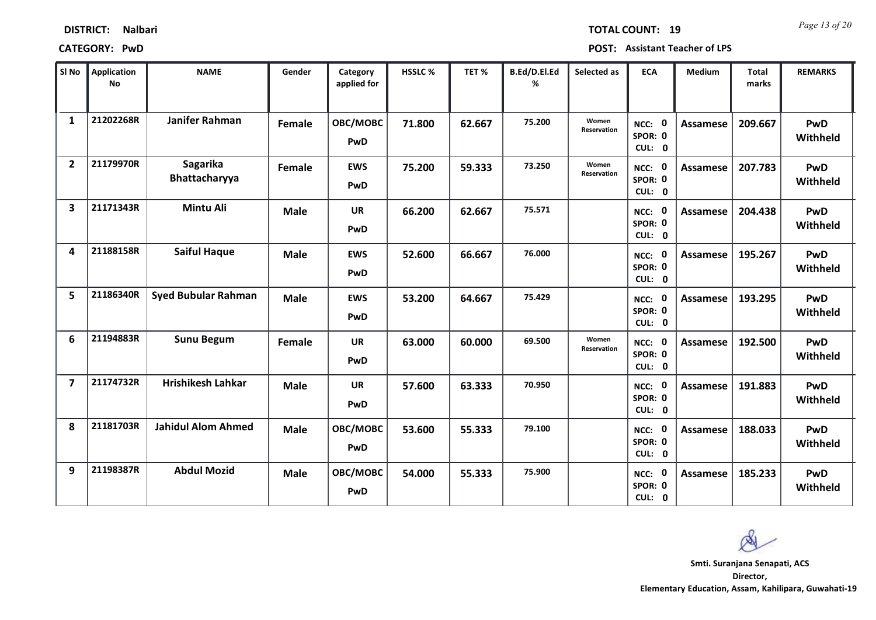| <b>DISTRICT:</b> | <b>Nalbari</b> |
|------------------|----------------|
|------------------|----------------|

*Page 13 of 20* **TOTAL COUNT: 19**

**CATEGORY: PwD POST: Assistant Teacher of LPS**

| SI <sub>No</sub>        | <b>Application</b><br><b>No</b> | <b>NAME</b>                | Gender      | Category<br>applied for | <b>HSSLC%</b> | TET %  | B.Ed/D.El.Ed<br>% | Selected as                 | <b>ECA</b>                               | <b>Medium</b>   | <b>Total</b><br>marks | <b>REMARKS</b>         |
|-------------------------|---------------------------------|----------------------------|-------------|-------------------------|---------------|--------|-------------------|-----------------------------|------------------------------------------|-----------------|-----------------------|------------------------|
| $\mathbf{1}$            | 21202268R                       | Janifer Rahman             | Female      | OBC/MOBC<br>PwD         | 71.800        | 62.667 | 75.200            | Women<br><b>Reservation</b> | $\mathbf 0$<br>NCC:<br>SPOR: 0<br>CUL: 0 | <b>Assamese</b> | 209.667               | <b>PwD</b><br>Withheld |
| $\overline{2}$          | 21179970R                       | Sagarika<br>Bhattacharyya  | Female      | <b>EWS</b><br>PwD       | 75.200        | 59.333 | 73.250            | Women<br>Reservation        | NCC: 0<br>SPOR: 0<br>CUL: 0              | <b>Assamese</b> | 207.783               | <b>PwD</b><br>Withheld |
| $\overline{\mathbf{3}}$ | 21171343R                       | <b>Mintu Ali</b>           | <b>Male</b> | <b>UR</b><br>PwD        | 66.200        | 62.667 | 75.571            |                             | NCC: 0<br>SPOR: 0<br>CUL: 0              | <b>Assamese</b> | 204.438               | PwD<br>Withheld        |
| 4                       | 21188158R                       | <b>Saiful Haque</b>        | <b>Male</b> | <b>EWS</b><br>PwD       | 52.600        | 66.667 | 76.000            |                             | NCC: 0<br>SPOR: 0<br>CUL: 0              | <b>Assamese</b> | 195.267               | <b>PwD</b><br>Withheld |
| 5                       | 21186340R                       | <b>Syed Bubular Rahman</b> | <b>Male</b> | <b>EWS</b><br>PwD       | 53.200        | 64.667 | 75.429            |                             | - 0<br>NCC:<br>SPOR: 0<br>CUL: 0         | <b>Assamese</b> | 193.295               | <b>PwD</b><br>Withheld |
| 6                       | 21194883R                       | <b>Sunu Begum</b>          | Female      | UR<br>PwD               | 63.000        | 60.000 | 69.500            | Women<br>Reservation        | NCC: 0<br>SPOR: 0<br>CUL: 0              | Assamese        | 192.500               | <b>PwD</b><br>Withheld |
| $\overline{7}$          | 21174732R                       | <b>Hrishikesh Lahkar</b>   | <b>Male</b> | <b>UR</b><br>PwD        | 57.600        | 63.333 | 70.950            |                             | NCC: 0<br>SPOR: 0<br>CUL: 0              | <b>Assamese</b> | 191.883               | <b>PwD</b><br>Withheld |
| 8                       | 21181703R                       | <b>Jahidul Alom Ahmed</b>  | <b>Male</b> | OBC/MOBC<br>PwD         | 53.600        | 55.333 | 79.100            |                             | NCC: 0<br>SPOR: 0<br>CUL: 0              | <b>Assamese</b> | 188.033               | <b>PwD</b><br>Withheld |
| 9                       | 21198387R                       | <b>Abdul Mozid</b>         | <b>Male</b> | OBC/MOBC<br><b>PwD</b>  | 54.000        | 55.333 | 75.900            |                             | NCC: 0<br>SPOR: 0<br>CUL: 0              | <b>Assamese</b> | 185.233               | <b>PwD</b><br>Withheld |

 $\infty$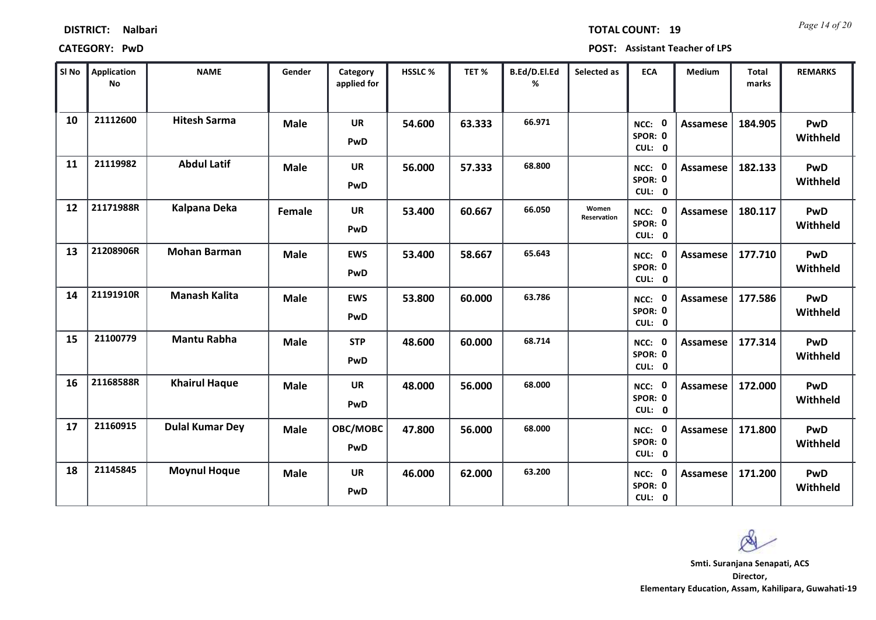| <b>DISTRICT:</b><br><b>Nalbari</b> |
|------------------------------------|
|------------------------------------|

*Page 14 of 20* **TOTAL COUNT: 19**

**CATEGORY: PwD POST: Assistant Teacher of LPS**

| SI No | <b>Application</b><br>No | <b>NAME</b>            | Gender      | Category<br>applied for | <b>HSSLC %</b> | TET %  | B.Ed/D.El.Ed<br>% | Selected as          | <b>ECA</b>                     | <b>Medium</b>   | <b>Total</b><br>marks | <b>REMARKS</b>         |
|-------|--------------------------|------------------------|-------------|-------------------------|----------------|--------|-------------------|----------------------|--------------------------------|-----------------|-----------------------|------------------------|
| 10    | 21112600                 | <b>Hitesh Sarma</b>    | <b>Male</b> | <b>UR</b><br>PwD        | 54.600         | 63.333 | 66.971            |                      | NCC: 0<br>SPOR: 0<br>CUL: 0    | <b>Assamese</b> | 184.905               | <b>PwD</b><br>Withheld |
| 11    | 21119982                 | <b>Abdul Latif</b>     | <b>Male</b> | <b>UR</b><br>PwD        | 56.000         | 57.333 | 68.800            |                      | NCC: 0<br>SPOR: 0<br>CUL: 0    | <b>Assamese</b> | 182.133               | PwD<br>Withheld        |
| 12    | 21171988R                | Kalpana Deka           | Female      | <b>UR</b><br>PwD        | 53.400         | 60.667 | 66.050            | Women<br>Reservation | NCC: 0<br>SPOR: 0<br>CUL: 0    | <b>Assamese</b> | 180.117               | PwD<br>Withheld        |
| 13    | 21208906R                | <b>Mohan Barman</b>    | <b>Male</b> | <b>EWS</b><br>PwD       | 53.400         | 58.667 | 65.643            |                      | 0<br>NCC:<br>SPOR: 0<br>CUL: 0 | <b>Assamese</b> | 177.710               | <b>PwD</b><br>Withheld |
| 14    | 21191910R                | <b>Manash Kalita</b>   | <b>Male</b> | <b>EWS</b><br>PwD       | 53.800         | 60.000 | 63.786            |                      | NCC: 0<br>SPOR: 0<br>CUL: 0    | <b>Assamese</b> | 177.586               | PwD<br>Withheld        |
| 15    | 21100779                 | <b>Mantu Rabha</b>     | <b>Male</b> | <b>STP</b><br>PwD       | 48.600         | 60.000 | 68.714            |                      | NCC: 0<br>SPOR: 0<br>CUL: 0    | <b>Assamese</b> | 177.314               | <b>PwD</b><br>Withheld |
| 16    | 21168588R                | <b>Khairul Haque</b>   | <b>Male</b> | <b>UR</b><br>PwD        | 48.000         | 56.000 | 68.000            |                      | NCC: 0<br>SPOR: 0<br>CUL: 0    | <b>Assamese</b> | 172.000               | <b>PwD</b><br>Withheld |
| 17    | 21160915                 | <b>Dulal Kumar Dey</b> | <b>Male</b> | OBC/MOBC<br>PwD         | 47.800         | 56.000 | 68.000            |                      | NCC: 0<br>SPOR: 0<br>CUL: 0    | <b>Assamese</b> | 171.800               | <b>PwD</b><br>Withheld |
| 18    | 21145845                 | <b>Moynul Hoque</b>    | <b>Male</b> | <b>UR</b><br>PwD        | 46.000         | 62.000 | 63.200            |                      | NCC: 0<br>SPOR: 0<br>CUL: 0    | <b>Assamese</b> | 171.200               | <b>PwD</b><br>Withheld |

 $\infty$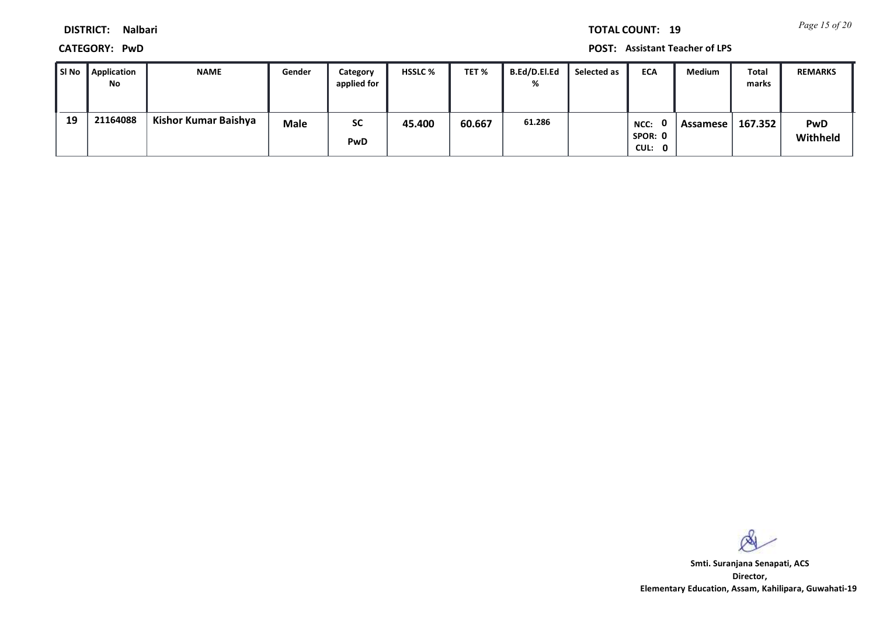*Page 15 of 20* **TOTAL COUNT: 19**

**DISTRICT: Nalbari**

**CATEGORY: PwD POST: Assistant Teacher of LPS**

| l SI No | Application<br>No | <b>NAME</b>          | Gender      | Category<br>applied for | <b>HSSLC %</b> | TET %  | B.Ed/D.El.Ed<br>% | Selected as | <b>ECA</b>                      | <b>Medium</b> | Total<br>marks | <b>REMARKS</b>         |
|---------|-------------------|----------------------|-------------|-------------------------|----------------|--------|-------------------|-------------|---------------------------------|---------------|----------------|------------------------|
| 19      | 21164088          | Kishor Kumar Baishya | <b>Male</b> | <b>SC</b><br><b>PwD</b> | 45.400         | 60.667 | 61.286            |             | n.<br>NCC:<br>SPOR: 0<br>CUL: 0 | Assamese      | 167.352        | <b>PwD</b><br>Withheld |

 $\infty$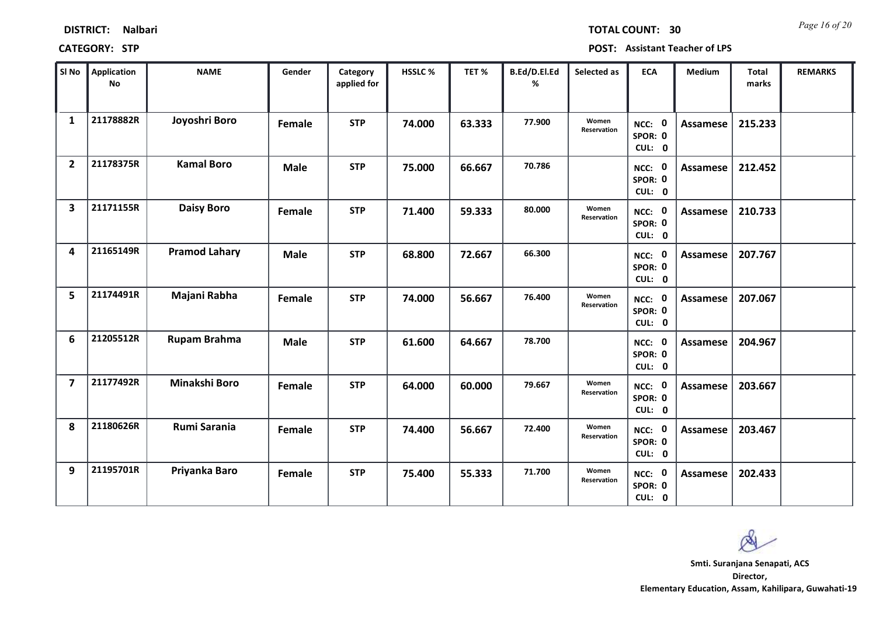*Page 16 of 20* **TOTAL COUNT: 30**

**CATEGORY: STP POST: Assistant Teacher of LPS**

| SI No                   | <b>Application</b><br>No | <b>NAME</b>          | Gender      | Category<br>applied for | <b>HSSLC %</b> | TET %  | B.Ed/D.El.Ed<br>% | Selected as          | <b>ECA</b>                  | <b>Medium</b>   | <b>Total</b><br>marks | <b>REMARKS</b> |
|-------------------------|--------------------------|----------------------|-------------|-------------------------|----------------|--------|-------------------|----------------------|-----------------------------|-----------------|-----------------------|----------------|
| $\mathbf{1}$            | 21178882R                | Joyoshri Boro        | Female      | <b>STP</b>              | 74.000         | 63.333 | 77.900            | Women<br>Reservation | NCC: 0<br>SPOR: 0<br>CUL: 0 | Assamese        | 215.233               |                |
| $\overline{2}$          | 21178375R                | <b>Kamal Boro</b>    | <b>Male</b> | <b>STP</b>              | 75.000         | 66.667 | 70.786            |                      | NCC: 0<br>SPOR: 0<br>CUL: 0 | <b>Assamese</b> | 212.452               |                |
| $\overline{\mathbf{3}}$ | 21171155R                | <b>Daisy Boro</b>    | Female      | <b>STP</b>              | 71.400         | 59.333 | 80.000            | Women<br>Reservation | NCC: 0<br>SPOR: 0<br>CUL: 0 | Assamese        | 210.733               |                |
| 4                       | 21165149R                | <b>Pramod Lahary</b> | <b>Male</b> | <b>STP</b>              | 68.800         | 72.667 | 66.300            |                      | NCC: 0<br>SPOR: 0<br>CUL: 0 | Assamese        | 207.767               |                |
| 5                       | 21174491R                | Majani Rabha         | Female      | <b>STP</b>              | 74.000         | 56.667 | 76.400            | Women<br>Reservation | NCC: 0<br>SPOR: 0<br>CUL: 0 | <b>Assamese</b> | 207.067               |                |
| 6                       | 21205512R                | <b>Rupam Brahma</b>  | <b>Male</b> | <b>STP</b>              | 61.600         | 64.667 | 78.700            |                      | NCC: 0<br>SPOR: 0<br>CUL: 0 | Assamese        | 204.967               |                |
| $\overline{7}$          | 21177492R                | Minakshi Boro        | Female      | <b>STP</b>              | 64.000         | 60.000 | 79.667            | Women<br>Reservation | NCC: 0<br>SPOR: 0<br>CUL: 0 | Assamese        | 203.667               |                |
| 8                       | 21180626R                | Rumi Sarania         | Female      | <b>STP</b>              | 74.400         | 56.667 | 72.400            | Women<br>Reservation | NCC: 0<br>SPOR: 0<br>CUL: 0 | <b>Assamese</b> | 203.467               |                |
| 9                       | 21195701R                | Priyanka Baro        | Female      | <b>STP</b>              | 75.400         | 55.333 | 71.700            | Women<br>Reservation | NCC: 0<br>SPOR: 0<br>CUL: 0 | Assamese        | 202.433               |                |

 $\infty$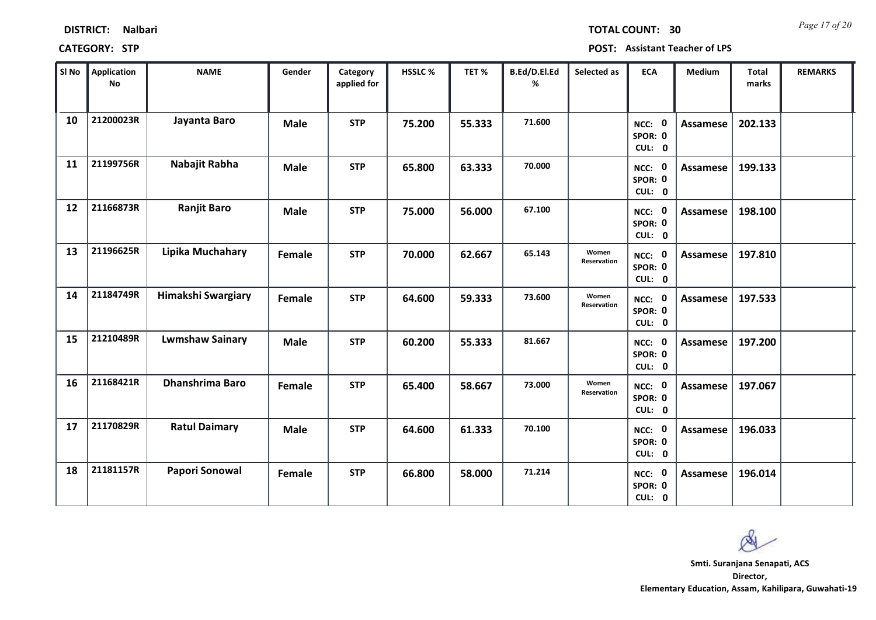| SI No | <b>Application</b><br><b>No</b> | <b>NAME</b>               | Gender      | Category<br>applied for | HSSLC % | TET %  | B.Ed/D.El.Ed<br>% | Selected as          | <b>ECA</b>                  | Medium          | Total<br>marks | <b>REMARKS</b> |
|-------|---------------------------------|---------------------------|-------------|-------------------------|---------|--------|-------------------|----------------------|-----------------------------|-----------------|----------------|----------------|
| 10    | 21200023R                       | Jayanta Baro              | <b>Male</b> | <b>STP</b>              | 75.200  | 55.333 | 71.600            |                      | NCC: 0<br>SPOR: 0<br>CUL: 0 | <b>Assamese</b> | 202.133        |                |
| 11    | 21199756R                       | Nabajit Rabha             | <b>Male</b> | <b>STP</b>              | 65.800  | 63.333 | 70.000            |                      | NCC: 0<br>SPOR: 0<br>CUL: 0 | Assamese        | 199.133        |                |
| 12    | 21166873R                       | <b>Ranjit Baro</b>        | <b>Male</b> | <b>STP</b>              | 75.000  | 56.000 | 67.100            |                      | NCC: 0<br>SPOR: 0<br>CUL: 0 | <b>Assamese</b> | 198.100        |                |
| 13    | 21196625R                       | Lipika Muchahary          | Female      | <b>STP</b>              | 70.000  | 62.667 | 65.143            | Women<br>Reservation | NCC: 0<br>SPOR: 0<br>CUL: 0 | <b>Assamese</b> | 197.810        |                |
| 14    | 21184749R                       | <b>Himakshi Swargiary</b> | Female      | <b>STP</b>              | 64.600  | 59.333 | 73.600            | Women<br>Reservation | NCC: 0<br>SPOR: 0<br>CUL: 0 | <b>Assamese</b> | 197.533        |                |
| 15    | 21210489R                       | <b>Lwmshaw Sainary</b>    | <b>Male</b> | <b>STP</b>              | 60.200  | 55.333 | 81.667            |                      | NCC: 0<br>SPOR: 0<br>CUL: 0 | <b>Assamese</b> | 197.200        |                |
| 16    | 21168421R                       | Dhanshrima Baro           | Female      | <b>STP</b>              | 65.400  | 58.667 | 73.000            | Women<br>Reservation | NCC: 0<br>SPOR: 0<br>CUL: 0 | <b>Assamese</b> | 197.067        |                |
| 17    | 21170829R                       | <b>Ratul Daimary</b>      | <b>Male</b> | <b>STP</b>              | 64.600  | 61.333 | 70.100            |                      | NCC: 0<br>SPOR: 0<br>CUL: 0 | <b>Assamese</b> | 196.033        |                |
| 18    | 21181157R                       | Papori Sonowal            | Female      | <b>STP</b>              | 66.800  | 58.000 | 71.214            |                      | NCC: 0<br>SPOR: 0<br>CUL: 0 | <b>Assamese</b> | 196.014        |                |

Т

### **DISTRICT: Nalbari**

### **CATEGORY: STP POST: Assistant Teacher of LPS**

т

T

т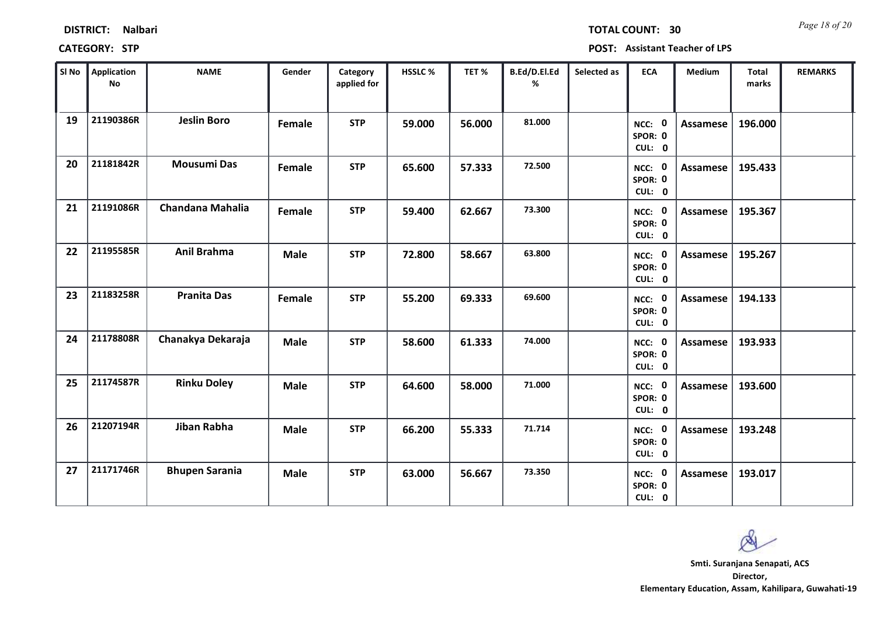|    | SI No   Application<br><b>No</b> | <b>NAME</b>             | Gender      | Category<br>applied for | HSSLC% | TET%   | B.Ed/D.El.Ed<br>% | Selected as | <b>ECA</b>                  | Medium          | <b>Total</b><br>marks | <b>REMARKS</b> |  |
|----|----------------------------------|-------------------------|-------------|-------------------------|--------|--------|-------------------|-------------|-----------------------------|-----------------|-----------------------|----------------|--|
| 19 | 21190386R                        | <b>Jeslin Boro</b>      | Female      | <b>STP</b>              | 59.000 | 56.000 | 81.000            |             | NCC: 0<br>SPOR: 0<br>CUL: 0 | Assamese        | 196.000               |                |  |
| 20 | 21181842R                        | <b>Mousumi Das</b>      | Female      | <b>STP</b>              | 65.600 | 57.333 | 72.500            |             | NCC: 0<br>SPOR: 0<br>CUL: 0 | Assamese        | 195.433               |                |  |
| 21 | 21191086R                        | <b>Chandana Mahalia</b> | Female      | <b>STP</b>              | 59.400 | 62.667 | 73.300            |             | NCC: 0<br>SPOR: 0<br>CUL: 0 | Assamese        | 195.367               |                |  |
| 22 | 21195585R                        | <b>Anil Brahma</b>      | <b>Male</b> | <b>STP</b>              | 72.800 | 58.667 | 63.800            |             | NCC: 0<br>SPOR: 0<br>CUL: 0 | Assamese        | 195.267               |                |  |
| 23 | 21183258R                        | <b>Pranita Das</b>      | Female      | <b>STP</b>              | 55.200 | 69.333 | 69.600            |             | NCC: 0<br>SPOR: 0<br>CUL: 0 | Assamese        | 194.133               |                |  |
| 24 | 21178808R                        | Chanakya Dekaraja       | <b>Male</b> | <b>STP</b>              | 58.600 | 61.333 | 74.000            |             | NCC: 0<br>SPOR: 0<br>CUL: 0 | Assamese        | 193.933               |                |  |
| 25 | 21174587R                        | <b>Rinku Doley</b>      | <b>Male</b> | <b>STP</b>              | 64.600 | 58.000 | 71.000            |             | NCC: 0<br>SPOR: 0<br>CUL: 0 | Assamese        | 193.600               |                |  |
| 26 | 21207194R                        | Jiban Rabha             | <b>Male</b> | <b>STP</b>              | 66.200 | 55.333 | 71.714            |             | NCC: 0<br>SPOR: 0<br>CUL: 0 | <b>Assamese</b> | 193.248               |                |  |
| 27 | 21171746R                        | <b>Bhupen Sarania</b>   | <b>Male</b> | <b>STP</b>              | 63.000 | 56.667 | 73.350            |             | NCC: 0<br>SPOR: 0<br>CUL: 0 | Assamese        | 193.017               |                |  |

### **CATEGORY: STP POST: Assistant Teacher of LPS**

*Page 18 of 20* **TOTAL COUNT: 30**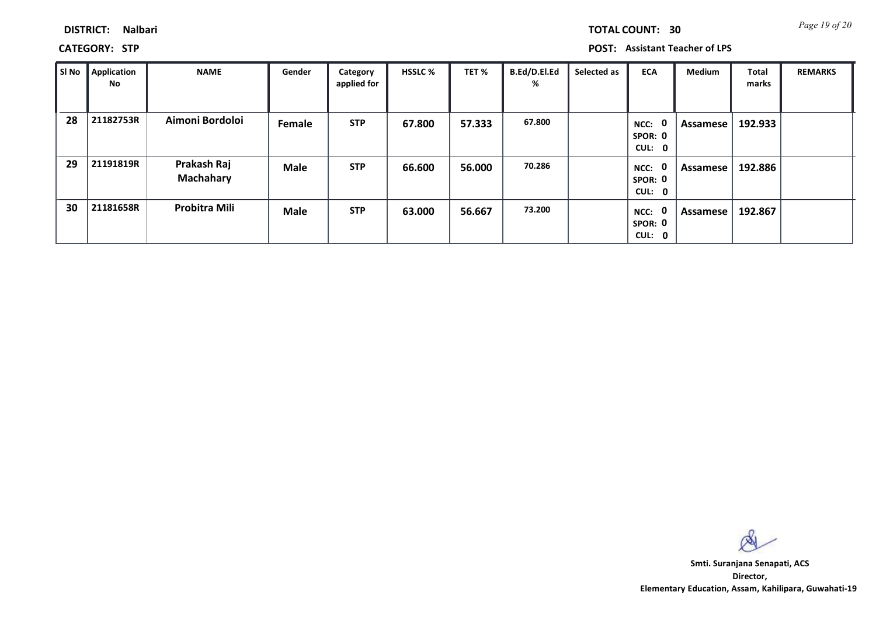| TOTAL COUNT: |  |  |  |    |
|--------------|--|--|--|----|
|              |  |  |  | 30 |

**CATEGORY: STP POST: Assistant Teacher of LPS**

| SI No | <b>Application</b><br>No | <b>NAME</b>                     | Gender      | Category<br>applied for | <b>HSSLC %</b> | TET %  | B.Ed/D.El.Ed<br>% | Selected as | <b>ECA</b>                       | <b>Medium</b> | Total<br>marks | <b>REMARKS</b> |
|-------|--------------------------|---------------------------------|-------------|-------------------------|----------------|--------|-------------------|-------------|----------------------------------|---------------|----------------|----------------|
| 28    | 21182753R                | Aimoni Bordoloi                 | Female      | <b>STP</b>              | 67.800         | 57.333 | 67.800            |             | 0<br>NCC:<br>SPOR: 0<br>CUL: 0   | Assamese      | 192.933        |                |
| 29    | 21191819R                | Prakash Raj<br><b>Machahary</b> | <b>Male</b> | <b>STP</b>              | 66.600         | 56.000 | 70.286            |             | - 0<br>NCC:<br>SPOR: 0<br>CUL: 0 | Assamese      | 192.886        |                |
| 30    | 21181658R                | <b>Probitra Mili</b>            | <b>Male</b> | <b>STP</b>              | 63.000         | 56.667 | 73.200            |             | 0<br>NCC:<br>SPOR: 0<br>CUL: 0   | Assamese      | 192.867        |                |

 $\infty$